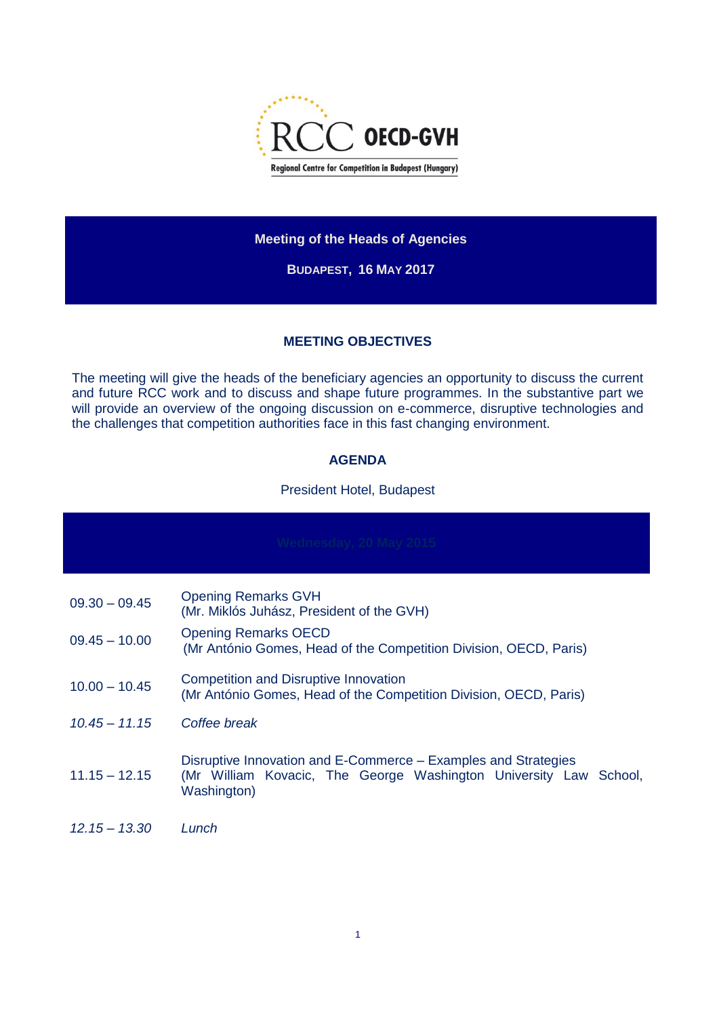

### **Meeting of the Heads of Agencies**

**BUDAPEST, 16 MAY 2017**

## **MEETING OBJECTIVES**

The meeting will give the heads of the beneficiary agencies an opportunity to discuss the current and future RCC work and to discuss and shape future programmes. In the substantive part we will provide an overview of the ongoing discussion on e-commerce, disruptive technologies and the challenges that competition authorities face in this fast changing environment.

# **AGENDA**

#### President Hotel, Budapest

| Wednesday, 20 May 2015 |                                                                                                                                                    |  |
|------------------------|----------------------------------------------------------------------------------------------------------------------------------------------------|--|
| $09.30 - 09.45$        | <b>Opening Remarks GVH</b><br>(Mr. Miklós Juhász, President of the GVH)                                                                            |  |
| $09.45 - 10.00$        | <b>Opening Remarks OECD</b><br>(Mr António Gomes, Head of the Competition Division, OECD, Paris)                                                   |  |
| $10.00 - 10.45$        | <b>Competition and Disruptive Innovation</b><br>(Mr António Gomes, Head of the Competition Division, OECD, Paris)                                  |  |
| $10.45 - 11.15$        | Coffee break                                                                                                                                       |  |
| $11.15 - 12.15$        | Disruptive Innovation and E-Commerce – Examples and Strategies<br>(Mr William Kovacic, The George Washington University Law School,<br>Washington) |  |
| $12.15 - 13.30$        | Lunch                                                                                                                                              |  |